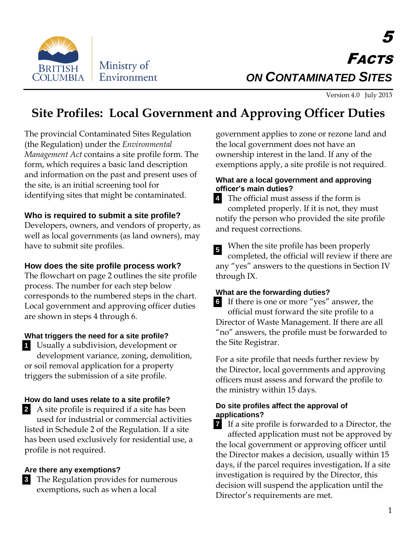

# 5 FACTS *ON CONTAMINATED SITES*

Version 4.0 July 2013

## **Site Profiles: Local Government and Approving Officer Duties**

The provincial Contaminated Sites Regulation (the Regulation) under the *Environmental Management Act* contains a site profile form. The form, which requires a basic land description and information on the past and present uses of the site, is an initial screening tool for identifying sites that might be contaminated.

## **Who is required to submit a site profile?**

Developers, owners, and vendors of property, as well as local governments (as land owners), may have to submit site profiles.

## **How does the site profile process work?**

The flowchart on page 2 outlines the site profile process. The number for each step below corresponds to the numbered steps in the chart. Local government and approving officer duties are shown in steps 4 through 6.

## **What triggers the need for a site profile?**

Usually a subdivision, development or **1** development variance, zoning, demolition, or soil removal application for a property triggers the submission of a site profile.

## **How do land uses relate to a site profile?**

A site profile is required if a site has been **2** used for industrial or commercial activities listed in Schedule 2 of the Regulation. If a site has been used exclusively for residential use, a profile is not required.

#### **Are there any exemptions?**

The Regulation provides for numerous **3** exemptions, such as when a local

government applies to zone or rezone land and the local government does not have an ownership interest in the land. If any of the exemptions apply, a site profile is not required.

#### **What are a local government and approving officer's main duties?**

The official must assess if the form is completed properly. If it is not, they must notify the person who provided the site profile and request corrections. **4**

When the site profile has been properly completed, the official will review if there are any "yes" answers to the questions in Section IV through IX. **5**

## **What are the forwarding duties?**

If there is one or more "yes" answer, the **6** official must forward the site profile to a Director of Waste Management. If there are all "no" answers, the profile must be forwarded to the Site Registrar.

For a site profile that needs further review by the Director, local governments and approving officers must assess and forward the profile to the ministry within 15 days.

#### **Do site profiles affect the approval of applications?**

If a site profile is forwarded to a Director, the **7**affected application must not be approved by the local government or approving officer until the Director makes a decision, usually within 15 days, if the parcel requires investigation**.** If a site investigation is required by the Director, this decision will suspend the application until the Director's requirements are met.